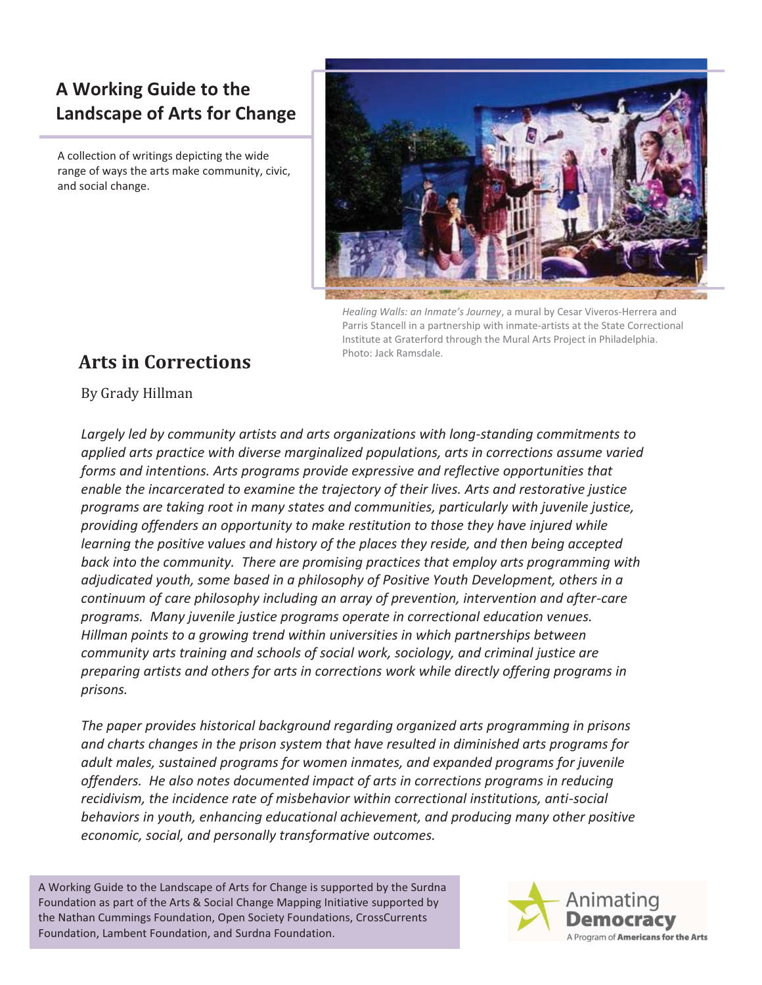## **A Working Guide to the Landscape of Arts for Change**

A collection of writings depicting the wide range of ways the arts make community, civic, and social change.



*Healing Walls: an Inmate's Journey*, a mural by Cesar Viveros-Herrera and Parris Stancell in a partnership with inmate-artists at the State Correctional Institute at Graterford through the Mural Arts Project in Philadelphia. Photo: Jack Ramsdale.

# **Arts in Corrections**

By Grady Hillman

*Largely led by community artists and arts organizations with long-standing commitments to applied arts practice with diverse marginalized populations, arts in corrections assume varied forms and intentions. Arts programs provide expressive and reflective opportunities that enable the incarcerated to examine the trajectory of their lives. Arts and restorative justice programs are taking root in many states and communities, particularly with juvenile justice, providing offenders an opportunity to make restitution to those they have injured while learning the positive values and history of the places they reside, and then being accepted back into the community. There are promising practices that employ arts programming with adjudicated youth, some based in a philosophy of Positive Youth Development, others in a continuum of care philosophy including an array of prevention, intervention and after-care programs. Many juvenile justice programs operate in correctional education venues. Hillman points to a growing trend within universities in which partnerships between community arts training and schools of social work, sociology, and criminal justice are preparing artists and others for arts in corrections work while directly offering programs in prisons.* 

*The paper provides historical background regarding organized arts programming in prisons and charts changes in the prison system that have resulted in diminished arts programs for adult males, sustained programs for women inmates, and expanded programs for juvenile offenders. He also notes documented impact of arts in corrections programs in reducing recidivism, the incidence rate of misbehavior within correctional institutions, anti-social behaviors in youth, enhancing educational achievement, and producing many other positive economic, social, and personally transformative outcomes.* 

A Working Guide to the Landscape of Arts for Change is supported by the Surdna Foundation as part of the Arts & Social Change Mapping Initiative supported by the Nathan Cummings Foundation, Open Society Foundations, CrossCurrents Foundation, Lambent Foundation, and Surdna Foundation.

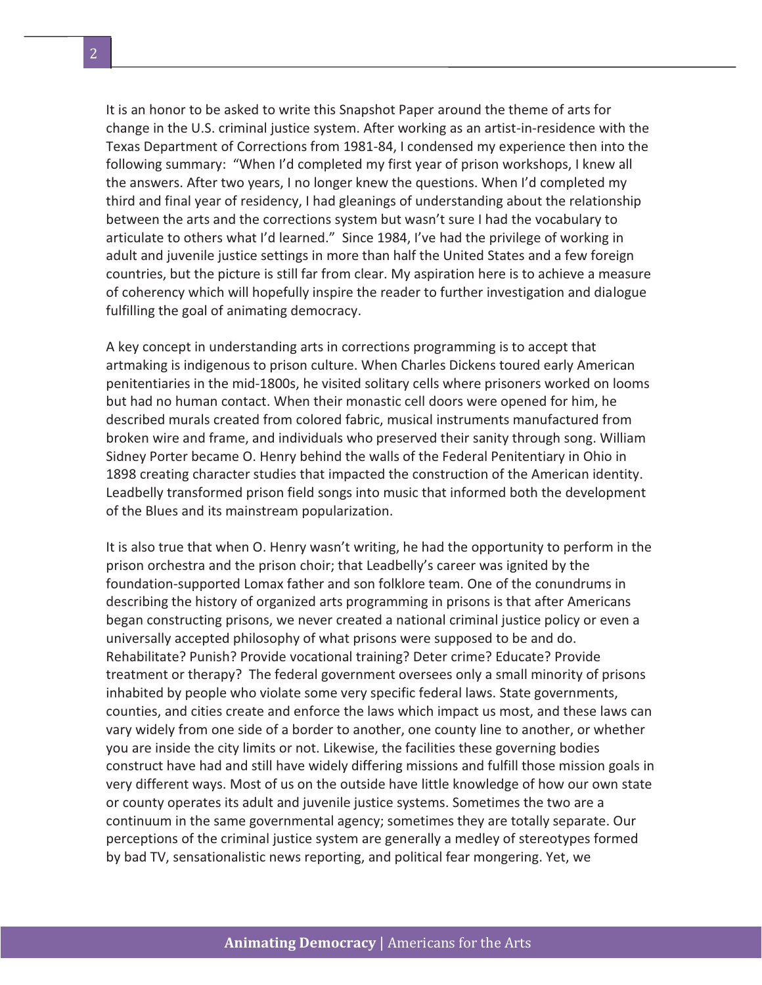It is an honor to be asked to write this Snapshot Paper around the theme of arts for change in the U.S. criminal justice system. After working as an artist-in-residence with the Texas Department of Corrections from 1981-84, I condensed my experience then into the following summary: "When I'd completed my first year of prison workshops, I knew all the answers. After two years, I no longer knew the questions. When I'd completed my third and final year of residency, I had gleanings of understanding about the relationship between the arts and the corrections system but wasn't sure I had the vocabulary to articulate to others what I'd learned." Since 1984, I've had the privilege of working in adult and juvenile justice settings in more than half the United States and a few foreign countries, but the picture is still far from clear. My aspiration here is to achieve a measure of coherency which will hopefully inspire the reader to further investigation and dialogue fulfilling the goal of animating democracy.

A key concept in understanding arts in corrections programming is to accept that artmaking is indigenous to prison culture. When Charles Dickens toured early American penitentiaries in the mid-1800s, he visited solitary cells where prisoners worked on looms but had no human contact. When their monastic cell doors were opened for him, he described murals created from colored fabric, musical instruments manufactured from broken wire and frame, and individuals who preserved their sanity through song. William Sidney Porter became O. Henry behind the walls of the Federal Penitentiary in Ohio in 1898 creating character studies that impacted the construction of the American identity. Leadbelly transformed prison field songs into music that informed both the development of the Blues and its mainstream popularization.

It is also true that when O. Henry wasn't writing, he had the opportunity to perform in the prison orchestra and the prison choir; that Leadbelly's career was ignited by the foundation-supported Lomax father and son folklore team. One of the conundrums in describing the history of organized arts programming in prisons is that after Americans began constructing prisons, we never created a national criminal justice policy or even a universally accepted philosophy of what prisons were supposed to be and do. Rehabilitate? Punish? Provide vocational training? Deter crime? Educate? Provide treatment or therapy? The federal government oversees only a small minority of prisons inhabited by people who violate some very specific federal laws. State governments, counties, and cities create and enforce the laws which impact us most, and these laws can vary widely from one side of a border to another, one county line to another, or whether you are inside the city limits or not. Likewise, the facilities these governing bodies construct have had and still have widely differing missions and fulfill those mission goals in very different ways. Most of us on the outside have little knowledge of how our own state or county operates its adult and juvenile justice systems. Sometimes the two are a continuum in the same governmental agency; sometimes they are totally separate. Our perceptions of the criminal justice system are generally a medley of stereotypes formed by bad TV, sensationalistic news reporting, and political fear mongering. Yet, we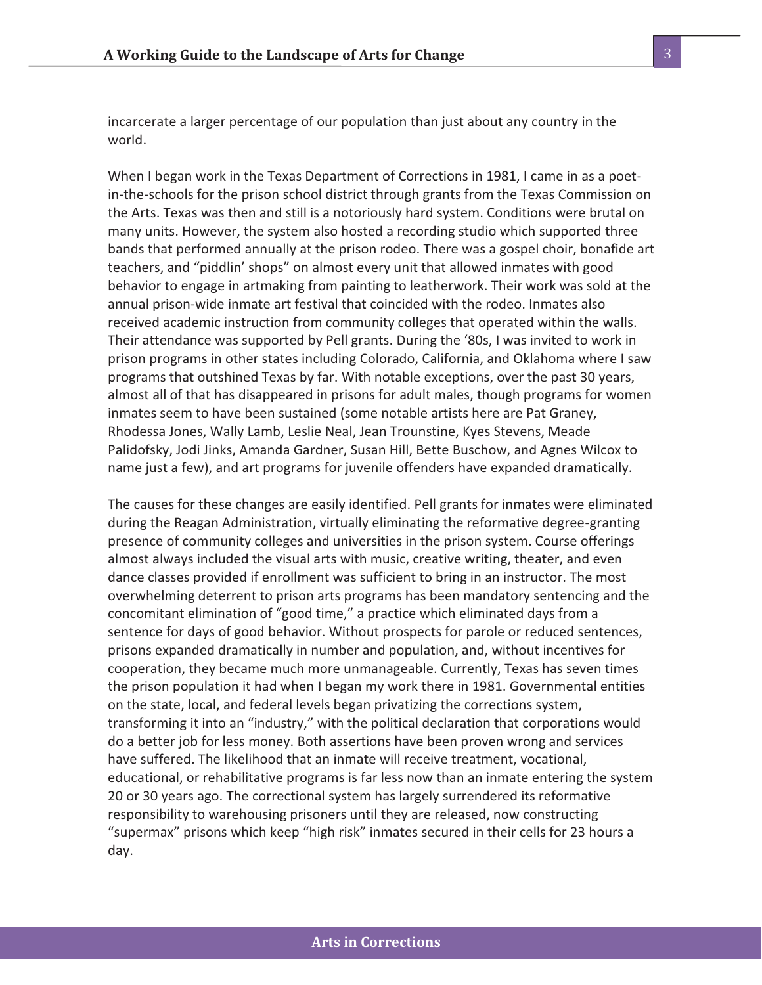incarcerate a larger percentage of our population than just about any country in the world.

When I began work in the Texas Department of Corrections in 1981, I came in as a poetin-the-schools for the prison school district through grants from the Texas Commission on the Arts. Texas was then and still is a notoriously hard system. Conditions were brutal on many units. However, the system also hosted a recording studio which supported three bands that performed annually at the prison rodeo. There was a gospel choir, bonafide art teachers, and "piddlin' shops" on almost every unit that allowed inmates with good behavior to engage in artmaking from painting to leatherwork. Their work was sold at the annual prison-wide inmate art festival that coincided with the rodeo. Inmates also received academic instruction from community colleges that operated within the walls. Their attendance was supported by Pell grants. During the '80s, I was invited to work in prison programs in other states including Colorado, California, and Oklahoma where I saw programs that outshined Texas by far. With notable exceptions, over the past 30 years, almost all of that has disappeared in prisons for adult males, though programs for women inmates seem to have been sustained (some notable artists here are Pat Graney, Rhodessa Jones, Wally Lamb, Leslie Neal, Jean Trounstine, Kyes Stevens, Meade Palidofsky, Jodi Jinks, Amanda Gardner, Susan Hill, Bette Buschow, and Agnes Wilcox to name just a few), and art programs for juvenile offenders have expanded dramatically.

The causes for these changes are easily identified. Pell grants for inmates were eliminated during the Reagan Administration, virtually eliminating the reformative degree-granting presence of community colleges and universities in the prison system. Course offerings almost always included the visual arts with music, creative writing, theater, and even dance classes provided if enrollment was sufficient to bring in an instructor. The most overwhelming deterrent to prison arts programs has been mandatory sentencing and the concomitant elimination of "good time," a practice which eliminated days from a sentence for days of good behavior. Without prospects for parole or reduced sentences, prisons expanded dramatically in number and population, and, without incentives for cooperation, they became much more unmanageable. Currently, Texas has seven times the prison population it had when I began my work there in 1981. Governmental entities on the state, local, and federal levels began privatizing the corrections system, transforming it into an "industry," with the political declaration that corporations would do a better job for less money. Both assertions have been proven wrong and services have suffered. The likelihood that an inmate will receive treatment, vocational, educational, or rehabilitative programs is far less now than an inmate entering the system 20 or 30 years ago. The correctional system has largely surrendered its reformative responsibility to warehousing prisoners until they are released, now constructing "supermax" prisons which keep "high risk" inmates secured in their cells for 23 hours a day.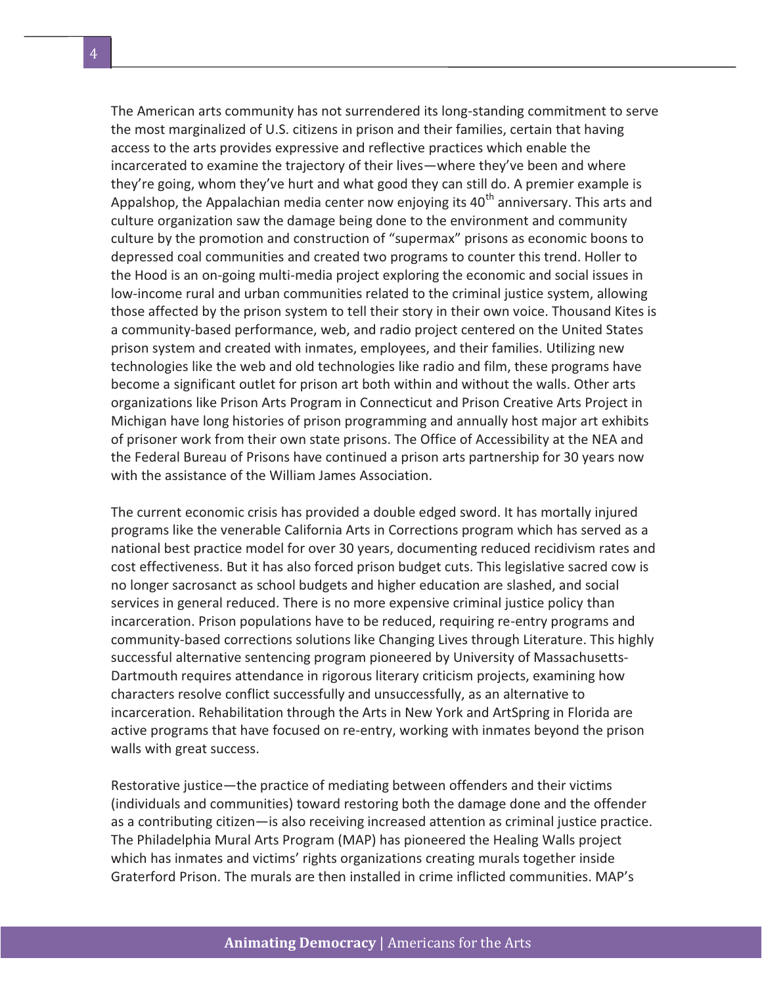The American arts community has not surrendered its long-standing commitment to serve the most marginalized of U.S. citizens in prison and their families, certain that having access to the arts provides expressive and reflective practices which enable the incarcerated to examine the trajectory of their lives—where they've been and where they're going, whom they've hurt and what good they can still do. A premier example is Appalshop, the Appalachian media center now enjoying its  $40<sup>th</sup>$  anniversary. This arts and culture organization saw the damage being done to the environment and community culture by the promotion and construction of "supermax" prisons as economic boons to depressed coal communities and created two programs to counter this trend. Holler to the Hood is an on-going multi-media project exploring the economic and social issues in low-income rural and urban communities related to the criminal justice system, allowing those affected by the prison system to tell their story in their own voice. Thousand Kites is a community-based performance, web, and radio project centered on the United States prison system and created with inmates, employees, and their families. Utilizing new technologies like the web and old technologies like radio and film, these programs have become a significant outlet for prison art both within and without the walls. Other arts organizations like Prison Arts Program in Connecticut and Prison Creative Arts Project in Michigan have long histories of prison programming and annually host major art exhibits of prisoner work from their own state prisons. The Office of Accessibility at the NEA and the Federal Bureau of Prisons have continued a prison arts partnership for 30 years now with the assistance of the William James Association.

The current economic crisis has provided a double edged sword. It has mortally injured programs like the venerable California Arts in Corrections program which has served as a national best practice model for over 30 years, documenting reduced recidivism rates and cost effectiveness. But it has also forced prison budget cuts. This legislative sacred cow is no longer sacrosanct as school budgets and higher education are slashed, and social services in general reduced. There is no more expensive criminal justice policy than incarceration. Prison populations have to be reduced, requiring re-entry programs and community-based corrections solutions like Changing Lives through Literature. This highly successful alternative sentencing program pioneered by University of Massachusetts-Dartmouth requires attendance in rigorous literary criticism projects, examining how characters resolve conflict successfully and unsuccessfully, as an alternative to incarceration. Rehabilitation through the Arts in New York and ArtSpring in Florida are active programs that have focused on re-entry, working with inmates beyond the prison walls with great success.

Restorative justice—the practice of mediating between offenders and their victims (individuals and communities) toward restoring both the damage done and the offender as a contributing citizen—is also receiving increased attention as criminal justice practice. The Philadelphia Mural Arts Program (MAP) has pioneered the Healing Walls project which has inmates and victims' rights organizations creating murals together inside Graterford Prison. The murals are then installed in crime inflicted communities. MAP's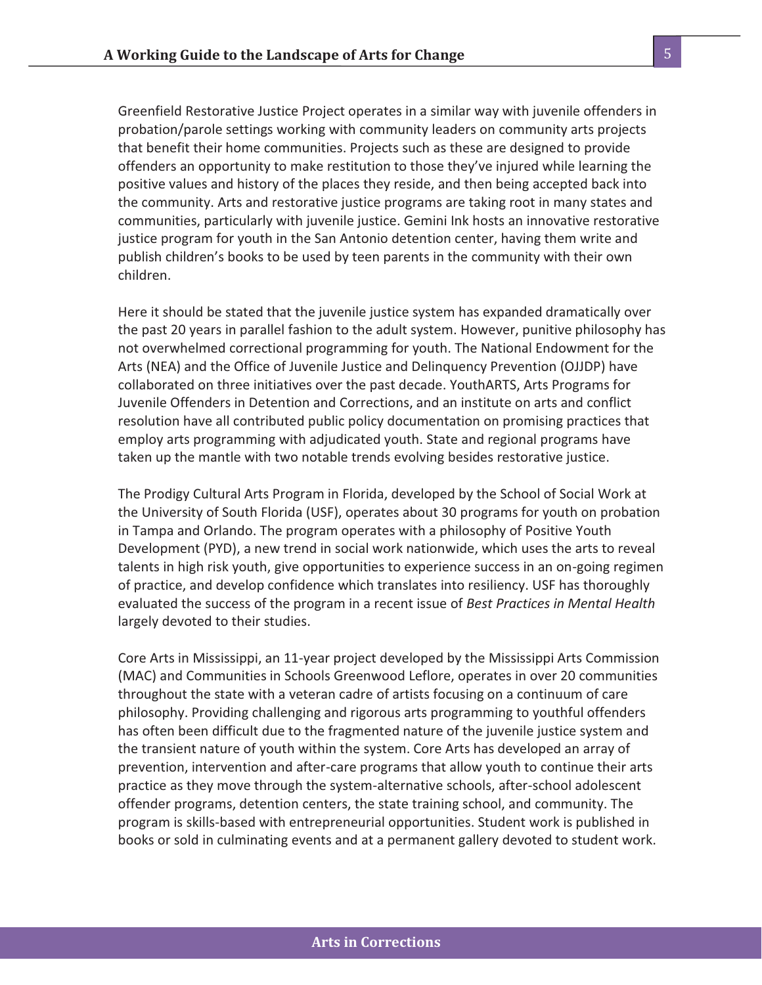Greenfield Restorative Justice Project operates in a similar way with juvenile offenders in probation/parole settings working with community leaders on community arts projects that benefit their home communities. Projects such as these are designed to provide offenders an opportunity to make restitution to those they've injured while learning the positive values and history of the places they reside, and then being accepted back into the community. Arts and restorative justice programs are taking root in many states and communities, particularly with juvenile justice. Gemini Ink hosts an innovative restorative justice program for youth in the San Antonio detention center, having them write and publish children's books to be used by teen parents in the community with their own children.

Here it should be stated that the juvenile justice system has expanded dramatically over the past 20 years in parallel fashion to the adult system. However, punitive philosophy has not overwhelmed correctional programming for youth. The National Endowment for the Arts (NEA) and the Office of Juvenile Justice and Delinquency Prevention (OJJDP) have collaborated on three initiatives over the past decade. YouthARTS, Arts Programs for Juvenile Offenders in Detention and Corrections, and an institute on arts and conflict resolution have all contributed public policy documentation on promising practices that employ arts programming with adjudicated youth. State and regional programs have taken up the mantle with two notable trends evolving besides restorative justice.

The Prodigy Cultural Arts Program in Florida, developed by the School of Social Work at the University of South Florida (USF), operates about 30 programs for youth on probation in Tampa and Orlando. The program operates with a philosophy of Positive Youth Development (PYD), a new trend in social work nationwide, which uses the arts to reveal talents in high risk youth, give opportunities to experience success in an on-going regimen of practice, and develop confidence which translates into resiliency. USF has thoroughly evaluated the success of the program in a recent issue of *Best Practices in Mental Health*  largely devoted to their studies.

Core Arts in Mississippi, an 11-year project developed by the Mississippi Arts Commission (MAC) and Communities in Schools Greenwood Leflore, operates in over 20 communities throughout the state with a veteran cadre of artists focusing on a continuum of care philosophy. Providing challenging and rigorous arts programming to youthful offenders has often been difficult due to the fragmented nature of the juvenile justice system and the transient nature of youth within the system. Core Arts has developed an array of prevention, intervention and after-care programs that allow youth to continue their arts practice as they move through the system-alternative schools, after-school adolescent offender programs, detention centers, the state training school, and community. The program is skills-based with entrepreneurial opportunities. Student work is published in books or sold in culminating events and at a permanent gallery devoted to student work.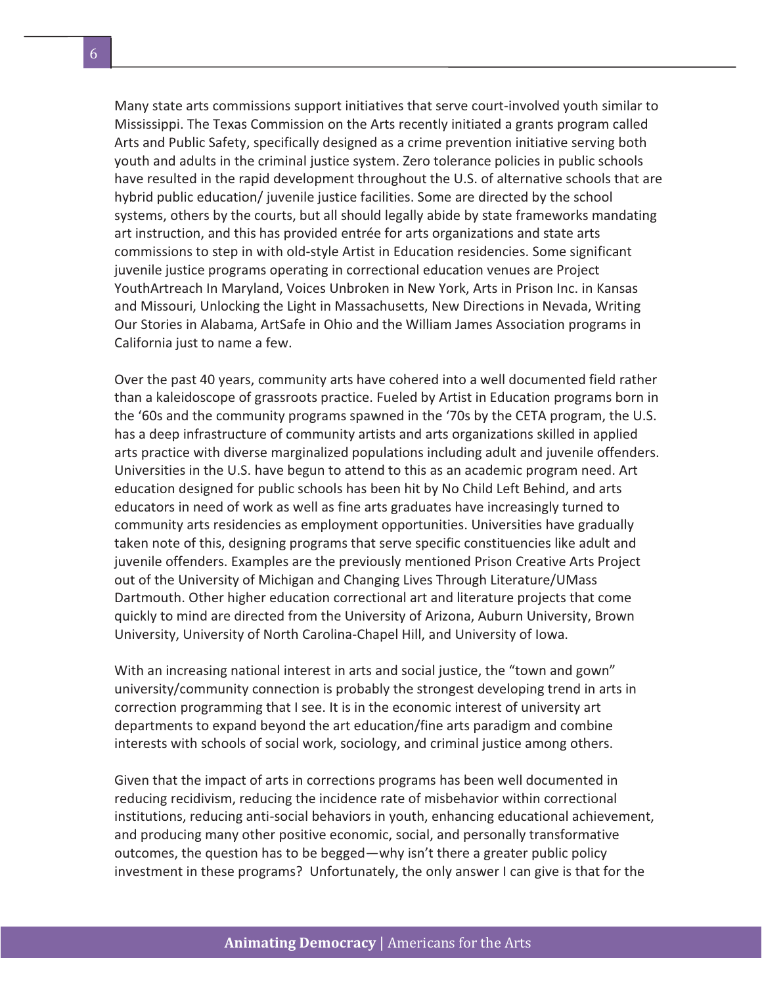Many state arts commissions support initiatives that serve court-involved youth similar to Mississippi. The Texas Commission on the Arts recently initiated a grants program called Arts and Public Safety, specifically designed as a crime prevention initiative serving both youth and adults in the criminal justice system. Zero tolerance policies in public schools have resulted in the rapid development throughout the U.S. of alternative schools that are hybrid public education/ juvenile justice facilities. Some are directed by the school systems, others by the courts, but all should legally abide by state frameworks mandating art instruction, and this has provided entrée for arts organizations and state arts commissions to step in with old-style Artist in Education residencies. Some significant juvenile justice programs operating in correctional education venues are Project YouthArtreach In Maryland, Voices Unbroken in New York, Arts in Prison Inc. in Kansas and Missouri, Unlocking the Light in Massachusetts, New Directions in Nevada, Writing Our Stories in Alabama, ArtSafe in Ohio and the William James Association programs in California just to name a few.

Over the past 40 years, community arts have cohered into a well documented field rather than a kaleidoscope of grassroots practice. Fueled by Artist in Education programs born in the '60s and the community programs spawned in the '70s by the CETA program, the U.S. has a deep infrastructure of community artists and arts organizations skilled in applied arts practice with diverse marginalized populations including adult and juvenile offenders. Universities in the U.S. have begun to attend to this as an academic program need. Art education designed for public schools has been hit by No Child Left Behind, and arts educators in need of work as well as fine arts graduates have increasingly turned to community arts residencies as employment opportunities. Universities have gradually taken note of this, designing programs that serve specific constituencies like adult and juvenile offenders. Examples are the previously mentioned Prison Creative Arts Project out of the University of Michigan and Changing Lives Through Literature/UMass Dartmouth. Other higher education correctional art and literature projects that come quickly to mind are directed from the University of Arizona, Auburn University, Brown University, University of North Carolina-Chapel Hill, and University of Iowa.

With an increasing national interest in arts and social justice, the "town and gown" university/community connection is probably the strongest developing trend in arts in correction programming that I see. It is in the economic interest of university art departments to expand beyond the art education/fine arts paradigm and combine interests with schools of social work, sociology, and criminal justice among others.

Given that the impact of arts in corrections programs has been well documented in reducing recidivism, reducing the incidence rate of misbehavior within correctional institutions, reducing anti-social behaviors in youth, enhancing educational achievement, and producing many other positive economic, social, and personally transformative outcomes, the question has to be begged—why isn't there a greater public policy investment in these programs? Unfortunately, the only answer I can give is that for the